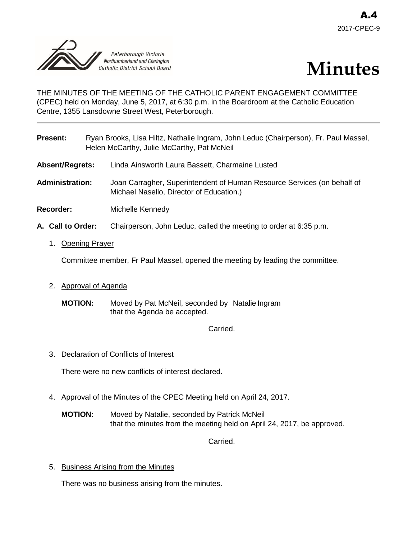



THE MINUTES OF THE MEETING OF THE CATHOLIC PARENT ENGAGEMENT COMMITTEE (CPEC) held on Monday, June 5, 2017, at 6:30 p.m. in the Boardroom at the Catholic Education Centre, 1355 Lansdowne Street West, Peterborough.

| <b>Present:</b>       |  | Ryan Brooks, Lisa Hiltz, Nathalie Ingram, John Leduc (Chairperson), Fr. Paul Massel,<br>Helen McCarthy, Julie McCarthy, Pat McNeil |
|-----------------------|--|------------------------------------------------------------------------------------------------------------------------------------|
| Absent/Regrets:       |  | Linda Ainsworth Laura Bassett, Charmaine Lusted                                                                                    |
| Administration:       |  | Joan Carragher, Superintendent of Human Resource Services (on behalf of<br>Michael Nasello, Director of Education.)                |
| Recorder:             |  | Michelle Kennedy                                                                                                                   |
| A. Call to Order:     |  | Chairperson, John Leduc, called the meeting to order at 6:35 p.m.                                                                  |
| <b>Opening Prayer</b> |  |                                                                                                                                    |

Committee member, Fr Paul Massel, opened the meeting by leading the committee.

- 2. Approval of Agenda
	- **MOTION:** Moved by Pat McNeil, seconded by Natalie Ingram that the Agenda be accepted.

Carried.

3. Declaration of Conflicts of Interest

There were no new conflicts of interest declared.

- 4. Approval of the Minutes of the CPEC Meeting held on April 24, 2017.
	- **MOTION:** Moved by Natalie, seconded by Patrick McNeil that the minutes from the meeting held on April 24, 2017, be approved.

Carried.

5. Business Arising from the Minutes

There was no business arising from the minutes.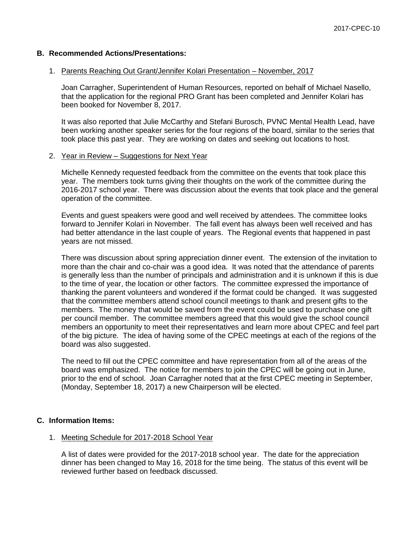# **B. Recommended Actions/Presentations:**

#### 1. Parents Reaching Out Grant/Jennifer Kolari Presentation – November, 2017

Joan Carragher, Superintendent of Human Resources, reported on behalf of Michael Nasello, that the application for the regional PRO Grant has been completed and Jennifer Kolari has been booked for November 8, 2017.

It was also reported that Julie McCarthy and Stefani Burosch, PVNC Mental Health Lead, have been working another speaker series for the four regions of the board, similar to the series that took place this past year. They are working on dates and seeking out locations to host.

#### 2. Year in Review – Suggestions for Next Year

Michelle Kennedy requested feedback from the committee on the events that took place this year. The members took turns giving their thoughts on the work of the committee during the 2016-2017 school year. There was discussion about the events that took place and the general operation of the committee.

Events and guest speakers were good and well received by attendees. The committee looks forward to Jennifer Kolari in November. The fall event has always been well received and has had better attendance in the last couple of years. The Regional events that happened in past years are not missed.

There was discussion about spring appreciation dinner event. The extension of the invitation to more than the chair and co-chair was a good idea. It was noted that the attendance of parents is generally less than the number of principals and administration and it is unknown if this is due to the time of year, the location or other factors. The committee expressed the importance of thanking the parent volunteers and wondered if the format could be changed. It was suggested that the committee members attend school council meetings to thank and present gifts to the members. The money that would be saved from the event could be used to purchase one gift per council member. The committee members agreed that this would give the school council members an opportunity to meet their representatives and learn more about CPEC and feel part of the big picture. The idea of having some of the CPEC meetings at each of the regions of the board was also suggested.

The need to fill out the CPEC committee and have representation from all of the areas of the board was emphasized. The notice for members to join the CPEC will be going out in June, prior to the end of school. Joan Carragher noted that at the first CPEC meeting in September, (Monday, September 18, 2017) a new Chairperson will be elected.

## **C. Information Items:**

#### 1. Meeting Schedule for 2017-2018 School Year

A list of dates were provided for the 2017-2018 school year. The date for the appreciation dinner has been changed to May 16, 2018 for the time being. The status of this event will be reviewed further based on feedback discussed.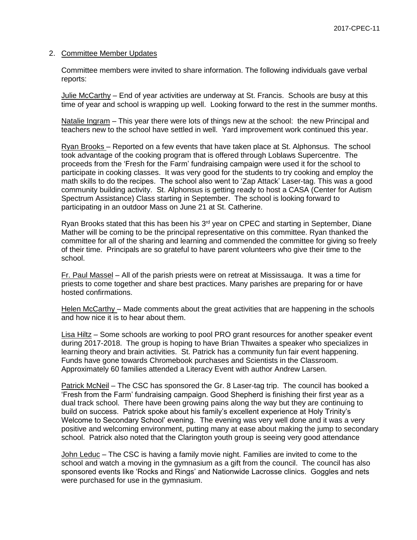### 2. Committee Member Updates

Committee members were invited to share information. The following individuals gave verbal reports:

Julie McCarthy – End of year activities are underway at St. Francis. Schools are busy at this time of year and school is wrapping up well. Looking forward to the rest in the summer months.

Natalie Ingram – This year there were lots of things new at the school: the new Principal and teachers new to the school have settled in well. Yard improvement work continued this year.

Ryan Brooks – Reported on a few events that have taken place at St. Alphonsus. The school took advantage of the cooking program that is offered through Loblaws Supercentre. The proceeds from the 'Fresh for the Farm' fundraising campaign were used it for the school to participate in cooking classes. It was very good for the students to try cooking and employ the math skills to do the recipes. The school also went to 'Zap Attack' Laser-tag. This was a good community building activity. St. Alphonsus is getting ready to host a CASA (Center for Autism Spectrum Assistance) Class starting in September. The school is looking forward to participating in an outdoor Mass on June 21 at St. Catherine.

Ryan Brooks stated that this has been his 3<sup>rd</sup> year on CPEC and starting in September, Diane Mather will be coming to be the principal representative on this committee. Ryan thanked the committee for all of the sharing and learning and commended the committee for giving so freely of their time. Principals are so grateful to have parent volunteers who give their time to the school.

Fr. Paul Massel – All of the parish priests were on retreat at Mississauga. It was a time for priests to come together and share best practices. Many parishes are preparing for or have hosted confirmations.

Helen McCarthy – Made comments about the great activities that are happening in the schools and how nice it is to hear about them.

Lisa Hiltz – Some schools are working to pool PRO grant resources for another speaker event during 2017-2018. The group is hoping to have Brian Thwaites a speaker who specializes in learning theory and brain activities. St. Patrick has a community fun fair event happening. Funds have gone towards Chromebook purchases and Scientists in the Classroom. Approximately 60 families attended a Literacy Event with author Andrew Larsen.

Patrick McNeil – The CSC has sponsored the Gr. 8 Laser-tag trip. The council has booked a 'Fresh from the Farm' fundraising campaign. Good Shepherd is finishing their first year as a dual track school. There have been growing pains along the way but they are continuing to build on success. Patrick spoke about his family's excellent experience at Holy Trinity's Welcome to Secondary School' evening. The evening was very well done and it was a very positive and welcoming environment, putting many at ease about making the jump to secondary school. Patrick also noted that the Clarington youth group is seeing very good attendance

John Leduc – The CSC is having a family movie night. Families are invited to come to the school and watch a moving in the gymnasium as a gift from the council. The council has also sponsored events like 'Rocks and Rings' and Nationwide Lacrosse clinics. Goggles and nets were purchased for use in the gymnasium.